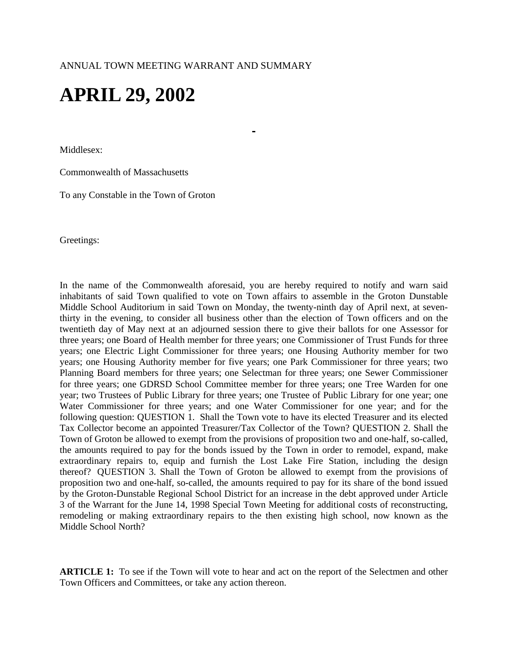# **APRIL 29, 2002**

Middlesex:

Commonwealth of Massachusetts

To any Constable in the Town of Groton

Greetings:

In the name of the Commonwealth aforesaid, you are hereby required to notify and warn said inhabitants of said Town qualified to vote on Town affairs to assemble in the Groton Dunstable Middle School Auditorium in said Town on Monday, the twenty-ninth day of April next, at seventhirty in the evening, to consider all business other than the election of Town officers and on the twentieth day of May next at an adjourned session there to give their ballots for one Assessor for three years; one Board of Health member for three years; one Commissioner of Trust Funds for three years; one Electric Light Commissioner for three years; one Housing Authority member for two years; one Housing Authority member for five years; one Park Commissioner for three years; two Planning Board members for three years; one Selectman for three years; one Sewer Commissioner for three years; one GDRSD School Committee member for three years; one Tree Warden for one year; two Trustees of Public Library for three years; one Trustee of Public Library for one year; one Water Commissioner for three years; and one Water Commissioner for one year; and for the following question: QUESTION 1. Shall the Town vote to have its elected Treasurer and its elected Tax Collector become an appointed Treasurer/Tax Collector of the Town? QUESTION 2. Shall the Town of Groton be allowed to exempt from the provisions of proposition two and one-half, so-called, the amounts required to pay for the bonds issued by the Town in order to remodel, expand, make extraordinary repairs to, equip and furnish the Lost Lake Fire Station, including the design thereof? QUESTION 3. Shall the Town of Groton be allowed to exempt from the provisions of proposition two and one-half, so-called, the amounts required to pay for its share of the bond issued by the Groton-Dunstable Regional School District for an increase in the debt approved under Article 3 of the Warrant for the June 14, 1998 Special Town Meeting for additional costs of reconstructing, remodeling or making extraordinary repairs to the then existing high school, now known as the Middle School North?

**ARTICLE 1:** To see if the Town will vote to hear and act on the report of the Selectmen and other Town Officers and Committees, or take any action thereon.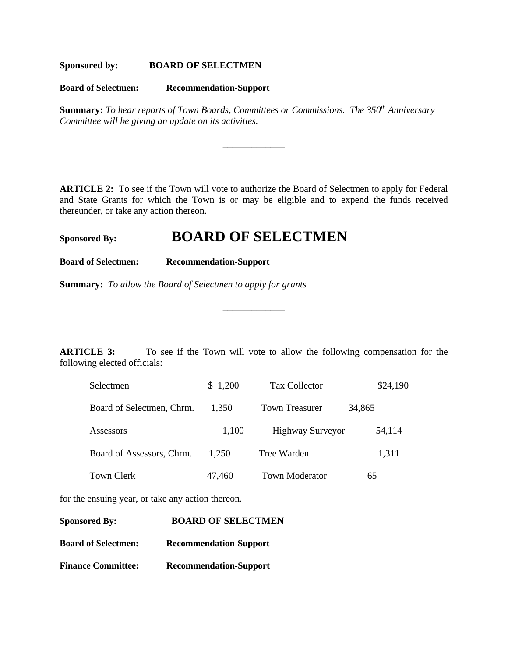**Sponsored by: BOARD OF SELECTMEN**

**Board of Selectmen: Recommendation-Support**

**Summary:** *To hear reports of Town Boards, Committees or Commissions. The 350<sup>th</sup> Anniversary Committee will be giving an update on its activities.* 

\_\_\_\_\_\_\_\_\_\_\_\_\_

**ARTICLE 2:** To see if the Town will vote to authorize the Board of Selectmen to apply for Federal and State Grants for which the Town is or may be eligible and to expend the funds received thereunder, or take any action thereon.

# **Sponsored By: BOARD OF SELECTMEN**

**Board of Selectmen: Recommendation-Support**

**Summary:** *To allow the Board of Selectmen to apply for grants*

**ARTICLE 3:** To see if the Town will vote to allow the following compensation for the following elected officials:

\_\_\_\_\_\_\_\_\_\_\_\_\_

| Selectmen                 | \$1,200 | Tax Collector           | \$24,190 |
|---------------------------|---------|-------------------------|----------|
| Board of Selectmen, Chrm. | 1.350   | <b>Town Treasurer</b>   | 34,865   |
| Assessors                 | 1,100   | <b>Highway Surveyor</b> | 54,114   |
| Board of Assessors, Chrm. | 1,250   | Tree Warden             | 1,311    |
| Town Clerk                | 47,460  | <b>Town Moderator</b>   | 65       |

for the ensuing year, or take any action thereon.

| <b>Sponsored By:</b>       | <b>BOARD OF SELECTMEN</b>     |
|----------------------------|-------------------------------|
| <b>Board of Selectmen:</b> | <b>Recommendation-Support</b> |
| <b>Finance Committee:</b>  | <b>Recommendation-Support</b> |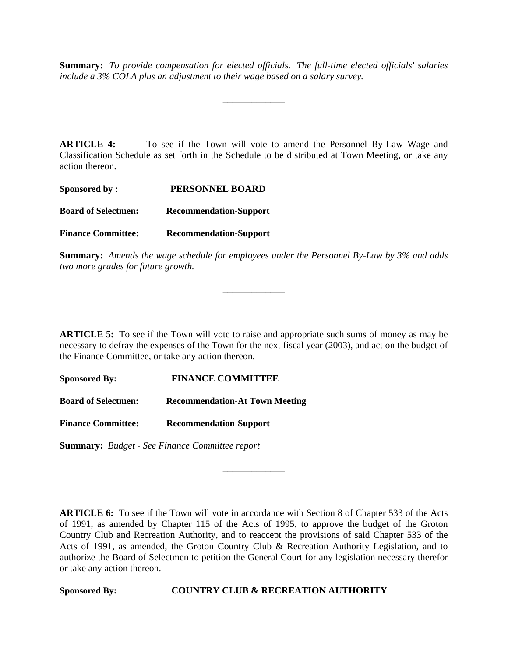**Summary:** *To provide compensation for elected officials. The full-time elected officials' salaries include a 3% COLA plus an adjustment to their wage based on a salary survey.*

\_\_\_\_\_\_\_\_\_\_\_\_\_

**ARTICLE 4:** To see if the Town will vote to amend the Personnel By-Law Wage and Classification Schedule as set forth in the Schedule to be distributed at Town Meeting, or take any action thereon.

| Sponsored by:              | PERSONNEL BOARD               |
|----------------------------|-------------------------------|
| <b>Board of Selectmen:</b> | <b>Recommendation-Support</b> |
| <b>Finance Committee:</b>  | <b>Recommendation-Support</b> |

**Summary:** *Amends the wage schedule for employees under the Personnel By-Law by 3% and adds two more grades for future growth.*

\_\_\_\_\_\_\_\_\_\_\_\_\_

**ARTICLE 5:** To see if the Town will vote to raise and appropriate such sums of money as may be necessary to defray the expenses of the Town for the next fiscal year (2003), and act on the budget of the Finance Committee, or take any action thereon.

**Sponsored By: FINANCE COMMITTEE**

**Board of Selectmen: Recommendation-At Town Meeting**

**Finance Committee: Recommendation-Support**

**Summary:** *Budget - See Finance Committee report*

**ARTICLE 6:** To see if the Town will vote in accordance with Section 8 of Chapter 533 of the Acts of 1991, as amended by Chapter 115 of the Acts of 1995, to approve the budget of the Groton Country Club and Recreation Authority, and to reaccept the provisions of said Chapter 533 of the Acts of 1991, as amended, the Groton Country Club & Recreation Authority Legislation, and to authorize the Board of Selectmen to petition the General Court for any legislation necessary therefor or take any action thereon.

\_\_\_\_\_\_\_\_\_\_\_\_\_

**Sponsored By: COUNTRY CLUB & RECREATION AUTHORITY**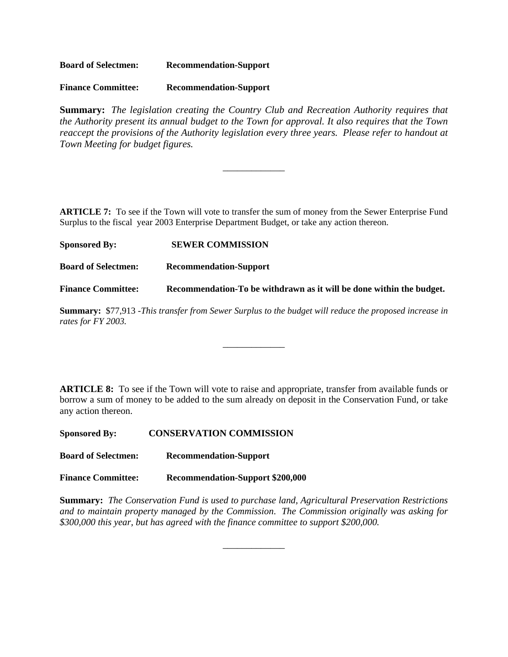**Board of Selectmen: Recommendation-Support**

**Finance Committee: Recommendation-Support**

**Summary:** *The legislation creating the Country Club and Recreation Authority requires that the Authority present its annual budget to the Town for approval. It also requires that the Town reaccept the provisions of the Authority legislation every three years. Please refer to handout at Town Meeting for budget figures.*

\_\_\_\_\_\_\_\_\_\_\_\_\_

**ARTICLE 7:** To see if the Town will vote to transfer the sum of money from the Sewer Enterprise Fund Surplus to the fiscal year 2003 Enterprise Department Budget, or take any action thereon.

**Sponsored By: SEWER COMMISSION Board of Selectmen: Recommendation-Support Finance Committee: Recommendation-To be withdrawn as it will be done within the budget.**

**Summary:** \$77,913 -*This transfer from Sewer Surplus to the budget will reduce the proposed increase in rates for FY 2003.*

\_\_\_\_\_\_\_\_\_\_\_\_\_

**ARTICLE 8:** To see if the Town will vote to raise and appropriate, transfer from available funds or borrow a sum of money to be added to the sum already on deposit in the Conservation Fund, or take any action thereon.

**Sponsored By: CONSERVATION COMMISSION**

**Board of Selectmen: Recommendation-Support**

**Finance Committee: Recommendation-Support \$200,000**

**Summary:** *The Conservation Fund is used to purchase land, Agricultural Preservation Restrictions and to maintain property managed by the Commission*. *The Commission originally was asking for \$300,000 this year, but has agreed with the finance committee to support \$200,000.*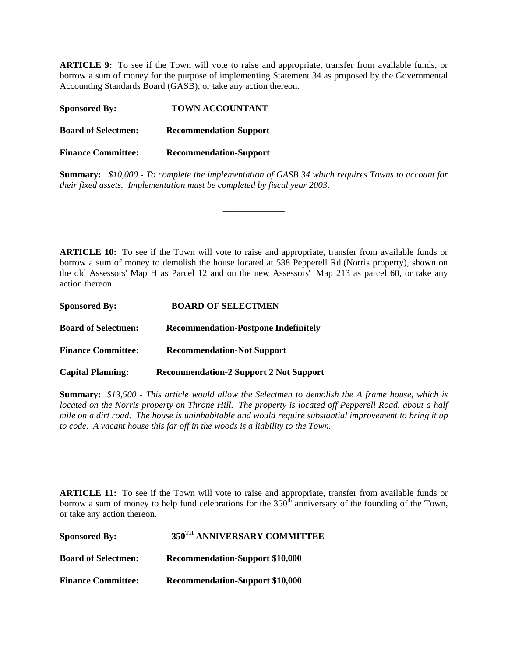**ARTICLE 9:** To see if the Town will vote to raise and appropriate, transfer from available funds, or borrow a sum of money for the purpose of implementing Statement 34 as proposed by the Governmental Accounting Standards Board (GASB), or take any action thereon.

Sponsored By: TOWN ACCOUNTANT **Board of Selectmen: Recommendation-Support Finance Committee: Recommendation-Support**

**Summary:** *\$10,000 - To complete the implementation of GASB 34 which requires Towns to account for their fixed assets. Implementation must be completed by fiscal year 2003*.

\_\_\_\_\_\_\_\_\_\_\_\_\_

**ARTICLE 10:** To see if the Town will vote to raise and appropriate, transfer from available funds or borrow a sum of money to demolish the house located at 538 Pepperell Rd.(Norris property), shown on the old Assessors' Map H as Parcel 12 and on the new Assessors' Map 213 as parcel 60, or take any action thereon.

| <b>Sponsored By:</b>       | <b>BOARD OF SELECTMEN</b>                     |
|----------------------------|-----------------------------------------------|
| <b>Board of Selectmen:</b> | <b>Recommendation-Postpone Indefinitely</b>   |
| <b>Finance Committee:</b>  | <b>Recommendation-Not Support</b>             |
| <b>Capital Planning:</b>   | <b>Recommendation-2 Support 2 Not Support</b> |

**Summary:** *\$13,500 - This article would allow the Selectmen to demolish the A frame house, which is located on the Norris property on Throne Hill. The property is located off Pepperell Road. about a half mile on a dirt road. The house is uninhabitable and would require substantial improvement to bring it up to code. A vacant house this far off in the woods is a liability to the Town.*

\_\_\_\_\_\_\_\_\_\_\_\_\_

**ARTICLE 11:** To see if the Town will vote to raise and appropriate, transfer from available funds or borrow a sum of money to help fund celebrations for the  $350<sup>th</sup>$  anniversary of the founding of the Town, or take any action thereon.

| <b>Sponsored By:</b>       | 350 <sup>TH</sup> ANNIVERSARY COMMITTEE |
|----------------------------|-----------------------------------------|
| <b>Board of Selectmen:</b> | <b>Recommendation-Support \$10,000</b>  |
| <b>Finance Committee:</b>  | <b>Recommendation-Support \$10,000</b>  |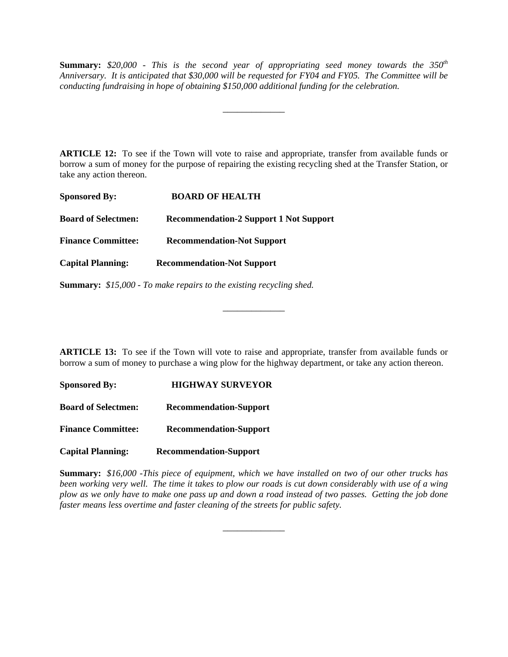**Summary:** *\$20,000 - This is the second year of appropriating seed money towards the 350th Anniversary. It is anticipated that \$30,000 will be requested for FY04 and FY05. The Committee will be conducting fundraising in hope of obtaining \$150,000 additional funding for the celebration.*

\_\_\_\_\_\_\_\_\_\_\_\_\_

**ARTICLE 12:** To see if the Town will vote to raise and appropriate, transfer from available funds or borrow a sum of money for the purpose of repairing the existing recycling shed at the Transfer Station, or take any action thereon.

| <b>Sponsored By:</b>       | <b>BOARD OF HEALTH</b>                        |
|----------------------------|-----------------------------------------------|
| <b>Board of Selectmen:</b> | <b>Recommendation-2 Support 1 Not Support</b> |
| <b>Finance Committee:</b>  | <b>Recommendation-Not Support</b>             |
| <b>Capital Planning:</b>   | <b>Recommendation-Not Support</b>             |
|                            |                                               |

**Summary:** *\$15,000 - To make repairs to the existing recycling shed.*

**ARTICLE 13:** To see if the Town will vote to raise and appropriate, transfer from available funds or borrow a sum of money to purchase a wing plow for the highway department, or take any action thereon.

\_\_\_\_\_\_\_\_\_\_\_\_\_

**Sponsored By: HIGHWAY SURVEYOR Board of Selectmen: Recommendation-Support Finance Committee: Recommendation-Support**

**Capital Planning: Recommendation-Support**

**Summary:** *\$16,000 -This piece of equipment, which we have installed on two of our other trucks has been working very well. The time it takes to plow our roads is cut down considerably with use of a wing plow as we only have to make one pass up and down a road instead of two passes. Getting the job done faster means less overtime and faster cleaning of the streets for public safety.*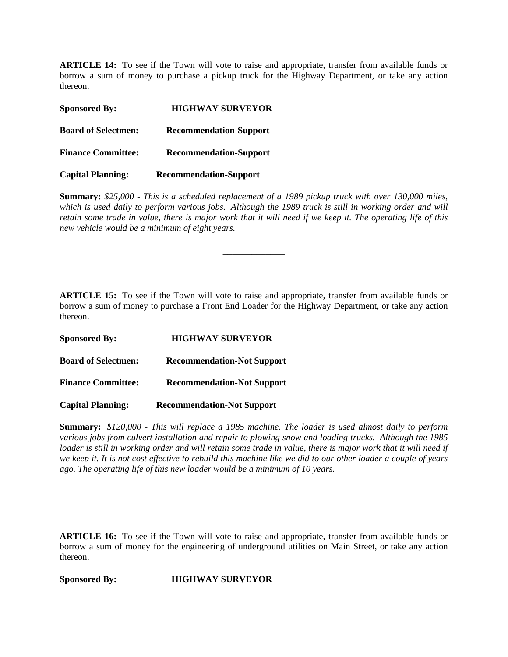**ARTICLE 14:** To see if the Town will vote to raise and appropriate, transfer from available funds or borrow a sum of money to purchase a pickup truck for the Highway Department, or take any action thereon.

| <b>Sponsored By:</b>       | <b>HIGHWAY SURVEYOR</b>       |
|----------------------------|-------------------------------|
| <b>Board of Selectmen:</b> | <b>Recommendation-Support</b> |
| <b>Finance Committee:</b>  | <b>Recommendation-Support</b> |
| <b>Capital Planning:</b>   | <b>Recommendation-Support</b> |

**Summary:** *\$25,000 - This is a scheduled replacement of a 1989 pickup truck with over 130,000 miles, which is used daily to perform various jobs. Although the 1989 truck is still in working order and will retain some trade in value, there is major work that it will need if we keep it. The operating life of this new vehicle would be a minimum of eight years.* 

\_\_\_\_\_\_\_\_\_\_\_\_\_

**ARTICLE 15:** To see if the Town will vote to raise and appropriate, transfer from available funds or borrow a sum of money to purchase a Front End Loader for the Highway Department, or take any action thereon.

| <b>Sponsored By:</b>       | <b>HIGHWAY SURVEYOR</b>           |
|----------------------------|-----------------------------------|
| <b>Board of Selectmen:</b> | <b>Recommendation-Not Support</b> |
| <b>Finance Committee:</b>  | <b>Recommendation-Not Support</b> |
| <b>Capital Planning:</b>   | <b>Recommendation-Not Support</b> |

**Summary:** *\$120,000 - This will replace a 1985 machine. The loader is used almost daily to perform various jobs from culvert installation and repair to plowing snow and loading trucks. Although the 1985 loader is still in working order and will retain some trade in value, there is major work that it will need if we keep it. It is not cost effective to rebuild this machine like we did to our other loader a couple of years ago. The operating life of this new loader would be a minimum of 10 years.*

\_\_\_\_\_\_\_\_\_\_\_\_\_

**ARTICLE 16:** To see if the Town will vote to raise and appropriate, transfer from available funds or borrow a sum of money for the engineering of underground utilities on Main Street, or take any action thereon.

**Sponsored By: HIGHWAY SURVEYOR**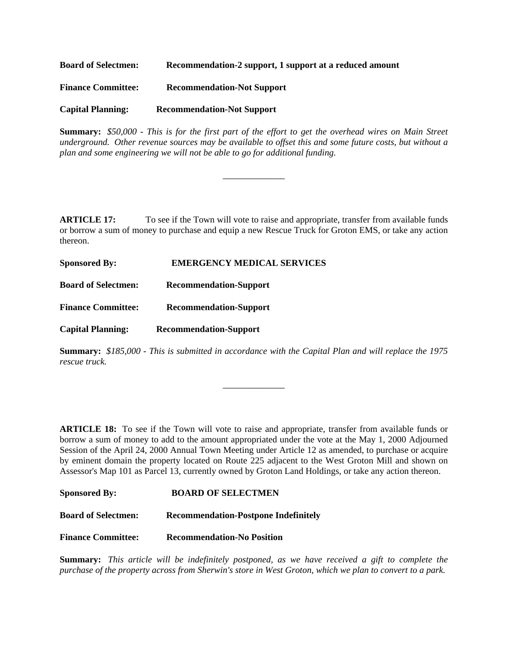| <b>Board of Selectmen:</b> | Recommendation-2 support, 1 support at a reduced amount |
|----------------------------|---------------------------------------------------------|
| <b>Finance Committee:</b>  | <b>Recommendation-Not Support</b>                       |
| <b>Capital Planning:</b>   | <b>Recommendation-Not Support</b>                       |

**Summary:** *\$50,000 - This is for the first part of the effort to get the overhead wires on Main Street underground. Other revenue sources may be available to offset this and some future costs, but without a plan and some engineering we will not be able to go for additional funding.*

\_\_\_\_\_\_\_\_\_\_\_\_\_

**ARTICLE 17:** To see if the Town will vote to raise and appropriate, transfer from available funds or borrow a sum of money to purchase and equip a new Rescue Truck for Groton EMS, or take any action thereon.

| <b>Sponsored By:</b>       | <b>EMERGENCY MEDICAL SERVICES</b> |
|----------------------------|-----------------------------------|
| <b>Board of Selectmen:</b> | <b>Recommendation-Support</b>     |
| <b>Finance Committee:</b>  | <b>Recommendation-Support</b>     |
| <b>Capital Planning:</b>   | <b>Recommendation-Support</b>     |

**Summary:** *\$185,000 - This is submitted in accordance with the Capital Plan and will replace the 1975 rescue truck.*

\_\_\_\_\_\_\_\_\_\_\_\_\_

**ARTICLE 18:** To see if the Town will vote to raise and appropriate, transfer from available funds or borrow a sum of money to add to the amount appropriated under the vote at the May 1, 2000 Adjourned Session of the April 24, 2000 Annual Town Meeting under Article 12 as amended, to purchase or acquire by eminent domain the property located on Route 225 adjacent to the West Groton Mill and shown on Assessor's Map 101 as Parcel 13, currently owned by Groton Land Holdings, or take any action thereon.

| <b>Sponsored By:</b> | <b>BOARD OF SELECTMEN</b> |
|----------------------|---------------------------|
|                      |                           |

**Board of Selectmen: Recommendation-Postpone Indefinitely** 

**Finance Committee: Recommendation-No Position**

**Summary:** *This article will be indefinitely postponed, as we have received a gift to complete the purchase of the property across from Sherwin's store in West Groton, which we plan to convert to a park.*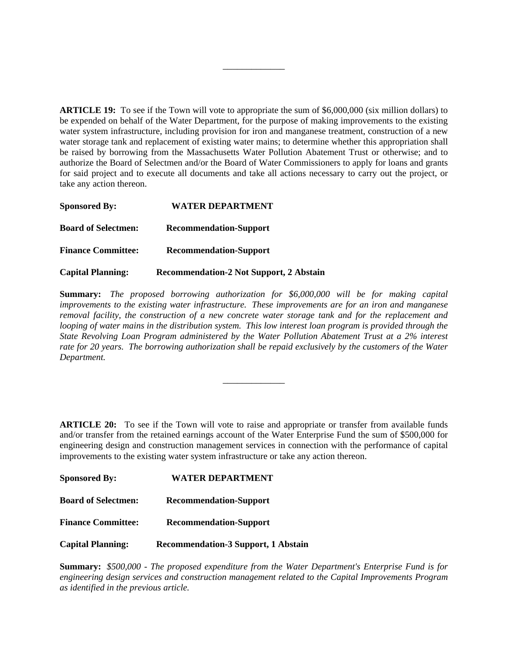**ARTICLE 19:** To see if the Town will vote to appropriate the sum of \$6,000,000 (six million dollars) to be expended on behalf of the Water Department, for the purpose of making improvements to the existing water system infrastructure, including provision for iron and manganese treatment, construction of a new water storage tank and replacement of existing water mains; to determine whether this appropriation shall be raised by borrowing from the Massachusetts Water Pollution Abatement Trust or otherwise; and to authorize the Board of Selectmen and/or the Board of Water Commissioners to apply for loans and grants for said project and to execute all documents and take all actions necessary to carry out the project, or take any action thereon.

\_\_\_\_\_\_\_\_\_\_\_\_\_

| <b>Sponsored By:</b>       | <b>WATER DEPARTMENT</b>                        |
|----------------------------|------------------------------------------------|
| <b>Board of Selectmen:</b> | <b>Recommendation-Support</b>                  |
| <b>Finance Committee:</b>  | <b>Recommendation-Support</b>                  |
| <b>Capital Planning:</b>   | <b>Recommendation-2 Not Support, 2 Abstain</b> |

**Summary:** *The proposed borrowing authorization for \$6,000,000 will be for making capital improvements to the existing water infrastructure. These improvements are for an iron and manganese removal facility, the construction of a new concrete water storage tank and for the replacement and looping of water mains in the distribution system. This low interest loan program is provided through the State Revolving Loan Program administered by the Water Pollution Abatement Trust at a 2% interest rate for 20 years. The borrowing authorization shall be repaid exclusively by the customers of the Water Department.* 

\_\_\_\_\_\_\_\_\_\_\_\_\_

**ARTICLE 20:** To see if the Town will vote to raise and appropriate or transfer from available funds and/or transfer from the retained earnings account of the Water Enterprise Fund the sum of \$500,000 for engineering design and construction management services in connection with the performance of capital improvements to the existing water system infrastructure or take any action thereon.

| <b>Sponsored By:</b>       | <b>WATER DEPARTMENT</b>                    |  |
|----------------------------|--------------------------------------------|--|
| <b>Board of Selectmen:</b> | <b>Recommendation-Support</b>              |  |
| <b>Finance Committee:</b>  | <b>Recommendation-Support</b>              |  |
| <b>Capital Planning:</b>   | <b>Recommendation-3 Support, 1 Abstain</b> |  |

**Summary:** *\$500,000 - The proposed expenditure from the Water Department's Enterprise Fund is for engineering design services and construction management related to the Capital Improvements Program as identified in the previous article.*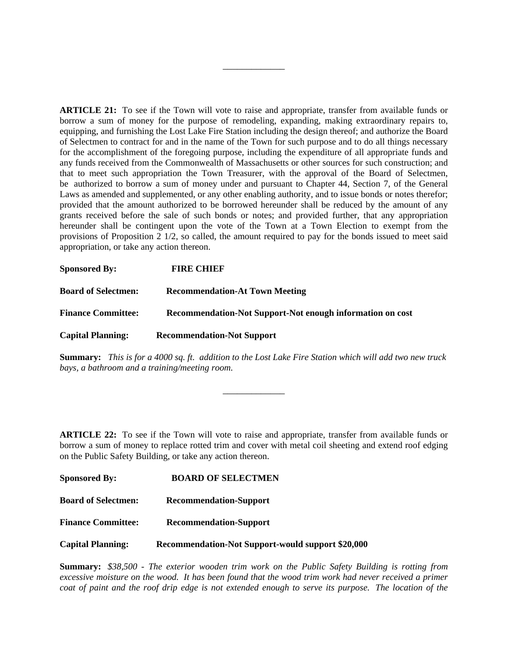**ARTICLE 21:** To see if the Town will vote to raise and appropriate, transfer from available funds or borrow a sum of money for the purpose of remodeling, expanding, making extraordinary repairs to, equipping, and furnishing the Lost Lake Fire Station including the design thereof; and authorize the Board of Selectmen to contract for and in the name of the Town for such purpose and to do all things necessary for the accomplishment of the foregoing purpose, including the expenditure of all appropriate funds and any funds received from the Commonwealth of Massachusetts or other sources for such construction; and that to meet such appropriation the Town Treasurer, with the approval of the Board of Selectmen, be authorized to borrow a sum of money under and pursuant to Chapter 44, Section 7, of the General Laws as amended and supplemented, or any other enabling authority, and to issue bonds or notes therefor; provided that the amount authorized to be borrowed hereunder shall be reduced by the amount of any grants received before the sale of such bonds or notes; and provided further, that any appropriation hereunder shall be contingent upon the vote of the Town at a Town Election to exempt from the provisions of Proposition 2 1/2, so called, the amount required to pay for the bonds issued to meet said appropriation, or take any action thereon.

\_\_\_\_\_\_\_\_\_\_\_\_\_

| <b>Sponsored By:</b>       | <b>FIRE CHIEF</b>                                         |
|----------------------------|-----------------------------------------------------------|
| <b>Board of Selectmen:</b> | <b>Recommendation-At Town Meeting</b>                     |
| <b>Finance Committee:</b>  | Recommendation-Not Support-Not enough information on cost |
| <b>Capital Planning:</b>   | <b>Recommendation-Not Support</b>                         |

**Summary:** *This is for a 4000 sq. ft. addition to the Lost Lake Fire Station which will add two new truck bays, a bathroom and a training/meeting room.* 

\_\_\_\_\_\_\_\_\_\_\_\_\_

**ARTICLE 22:** To see if the Town will vote to raise and appropriate, transfer from available funds or borrow a sum of money to replace rotted trim and cover with metal coil sheeting and extend roof edging on the Public Safety Building, or take any action thereon.

| <b>Sponsored By:</b>       | <b>BOARD OF SELECTMEN</b>                         |
|----------------------------|---------------------------------------------------|
| <b>Board of Selectmen:</b> | <b>Recommendation-Support</b>                     |
| <b>Finance Committee:</b>  | <b>Recommendation-Support</b>                     |
| <b>Capital Planning:</b>   | Recommendation-Not Support-would support \$20,000 |

**Summary:** *\$38,500 - The exterior wooden trim work on the Public Safety Building is rotting from*  excessive moisture on the wood. It has been found that the wood trim work had never received a primer *coat of paint and the roof drip edge is not extended enough to serve its purpose. The location of the*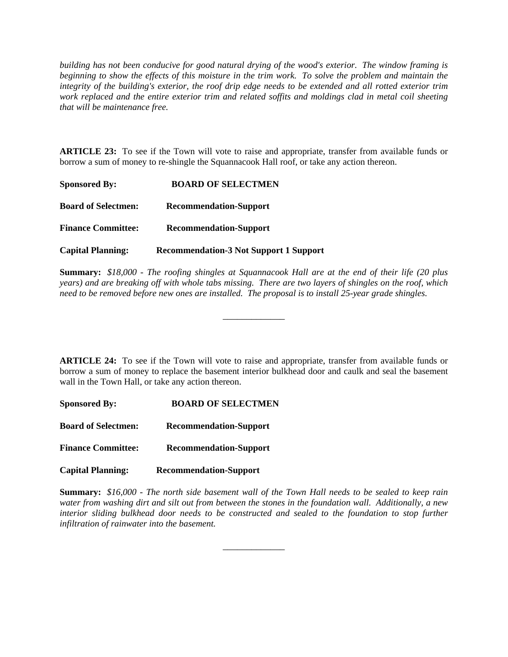*building has not been conducive for good natural drying of the wood's exterior. The window framing is beginning to show the effects of this moisture in the trim work. To solve the problem and maintain the integrity of the building's exterior, the roof drip edge needs to be extended and all rotted exterior trim work replaced and the entire exterior trim and related soffits and moldings clad in metal coil sheeting that will be maintenance free.*

**ARTICLE 23:** To see if the Town will vote to raise and appropriate, transfer from available funds or borrow a sum of money to re-shingle the Squannacook Hall roof, or take any action thereon.

| <b>Sponsored By:</b>       | <b>BOARD OF SELECTMEN</b>                     |  |
|----------------------------|-----------------------------------------------|--|
| <b>Board of Selectmen:</b> | <b>Recommendation-Support</b>                 |  |
| <b>Finance Committee:</b>  | <b>Recommendation-Support</b>                 |  |
| <b>Capital Planning:</b>   | <b>Recommendation-3 Not Support 1 Support</b> |  |

**Summary:** *\$18,000 - The roofing shingles at Squannacook Hall are at the end of their life (20 plus years) and are breaking off with whole tabs missing. There are two layers of shingles on the roof, which need to be removed before new ones are installed. The proposal is to install 25-year grade shingles.*

\_\_\_\_\_\_\_\_\_\_\_\_\_

**ARTICLE 24:** To see if the Town will vote to raise and appropriate, transfer from available funds or borrow a sum of money to replace the basement interior bulkhead door and caulk and seal the basement wall in the Town Hall, or take any action thereon.

**Sponsored By: BOARD OF SELECTMEN Board of Selectmen: Recommendation-Support Finance Committee: Recommendation-Support**

**Capital Planning: Recommendation-Support**

**Summary:** *\$16,000 - The north side basement wall of the Town Hall needs to be sealed to keep rain water from washing dirt and silt out from between the stones in the foundation wall. Additionally, a new interior sliding bulkhead door needs to be constructed and sealed to the foundation to stop further infiltration of rainwater into the basement.*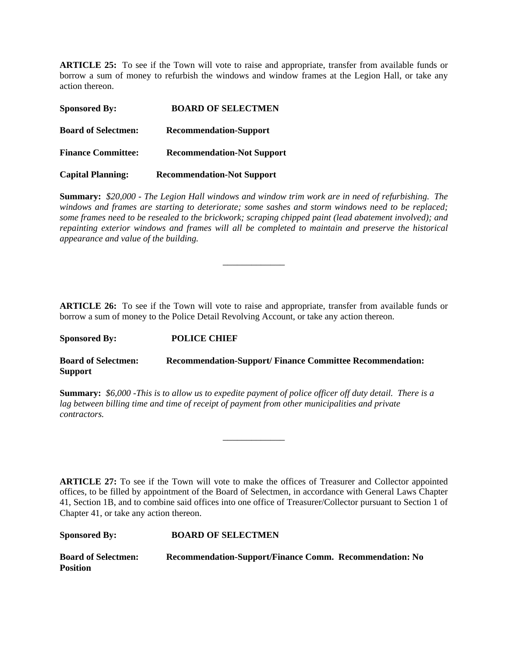**ARTICLE 25:** To see if the Town will vote to raise and appropriate, transfer from available funds or borrow a sum of money to refurbish the windows and window frames at the Legion Hall, or take any action thereon.

| <b>Sponsored By:</b>       | <b>BOARD OF SELECTMEN</b>         |  |
|----------------------------|-----------------------------------|--|
| <b>Board of Selectmen:</b> | <b>Recommendation-Support</b>     |  |
| <b>Finance Committee:</b>  | <b>Recommendation-Not Support</b> |  |
| <b>Capital Planning:</b>   | <b>Recommendation-Not Support</b> |  |

**Summary:** *\$20,000 - The Legion Hall windows and window trim work are in need of refurbishing. The windows and frames are starting to deteriorate; some sashes and storm windows need to be replaced; some frames need to be resealed to the brickwork; scraping chipped paint (lead abatement involved); and repainting exterior windows and frames will all be completed to maintain and preserve the historical appearance and value of the building.* 

\_\_\_\_\_\_\_\_\_\_\_\_\_

**ARTICLE 26:** To see if the Town will vote to raise and appropriate, transfer from available funds or borrow a sum of money to the Police Detail Revolving Account, or take any action thereon.

**Sponsored By: POLICE CHIEF**

**Board of Selectmen: Recommendation-Support/ Finance Committee Recommendation: Support**

**Summary:** *\$6,000 -This is to allow us to expedite payment of police officer off duty detail. There is a lag between billing time and time of receipt of payment from other municipalities and private contractors.* 

\_\_\_\_\_\_\_\_\_\_\_\_\_

**ARTICLE 27:** To see if the Town will vote to make the offices of Treasurer and Collector appointed offices, to be filled by appointment of the Board of Selectmen, in accordance with General Laws Chapter 41, Section 1B, and to combine said offices into one office of Treasurer/Collector pursuant to Section 1 of Chapter 41, or take any action thereon.

| <b>Sponsored By:</b>                          | <b>BOARD OF SELECTMEN</b>                               |  |
|-----------------------------------------------|---------------------------------------------------------|--|
| <b>Board of Selectmen:</b><br><b>Position</b> | Recommendation-Support/Finance Comm. Recommendation: No |  |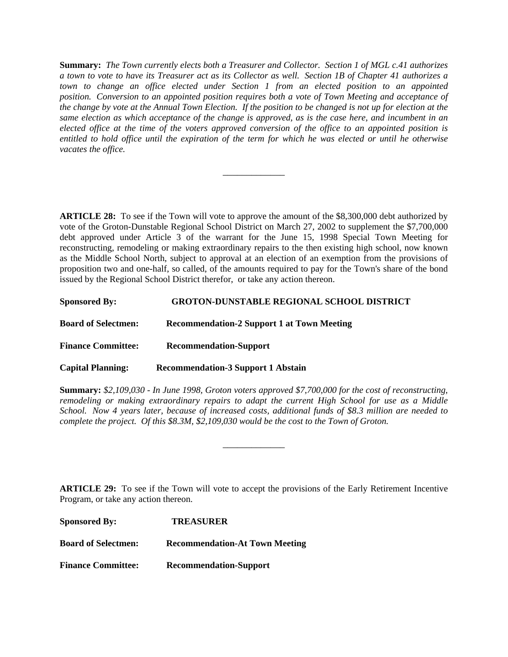**Summary:** *The Town currently elects both a Treasurer and Collector. Section 1 of MGL c.41 authorizes a town to vote to have its Treasurer act as its Collector as well. Section 1B of Chapter 41 authorizes a*  town to change an office elected under Section 1 from an elected position to an appointed *position. Conversion to an appointed position requires both a vote of Town Meeting and acceptance of the change by vote at the Annual Town Election. If the position to be changed is not up for election at the same election as which acceptance of the change is approved, as is the case here, and incumbent in an elected office at the time of the voters approved conversion of the office to an appointed position is entitled to hold office until the expiration of the term for which he was elected or until he otherwise vacates the office.* 

\_\_\_\_\_\_\_\_\_\_\_\_\_

**ARTICLE 28:** To see if the Town will vote to approve the amount of the \$8,300,000 debt authorized by vote of the Groton-Dunstable Regional School District on March 27, 2002 to supplement the \$7,700,000 debt approved under Article 3 of the warrant for the June 15, 1998 Special Town Meeting for reconstructing, remodeling or making extraordinary repairs to the then existing high school, now known as the Middle School North, subject to approval at an election of an exemption from the provisions of proposition two and one-half, so called, of the amounts required to pay for the Town's share of the bond issued by the Regional School District therefor, or take any action thereon.

| <b>Sponsored By:</b>       | <b>GROTON-DUNSTABLE REGIONAL SCHOOL DISTRICT</b>  |
|----------------------------|---------------------------------------------------|
| <b>Board of Selectmen:</b> | <b>Recommendation-2 Support 1 at Town Meeting</b> |
| <b>Finance Committee:</b>  | <b>Recommendation-Support</b>                     |
| <b>Capital Planning:</b>   | <b>Recommendation-3 Support 1 Abstain</b>         |

**Summary:** *\$2,109,030 - In June 1998, Groton voters approved \$7,700,000 for the cost of reconstructing, remodeling or making extraordinary repairs to adapt the current High School for use as a Middle School. Now 4 years later, because of increased costs, additional funds of \$8.3 million are needed to complete the project. Of this \$8.3M, \$2,109,030 would be the cost to the Town of Groton.*

\_\_\_\_\_\_\_\_\_\_\_\_\_

**ARTICLE 29:** To see if the Town will vote to accept the provisions of the Early Retirement Incentive Program, or take any action thereon.

| <b>Sponsored By:</b>       | <b>TREASURER</b>                      |  |
|----------------------------|---------------------------------------|--|
| <b>Board of Selectmen:</b> | <b>Recommendation-At Town Meeting</b> |  |
| <b>Finance Committee:</b>  | <b>Recommendation-Support</b>         |  |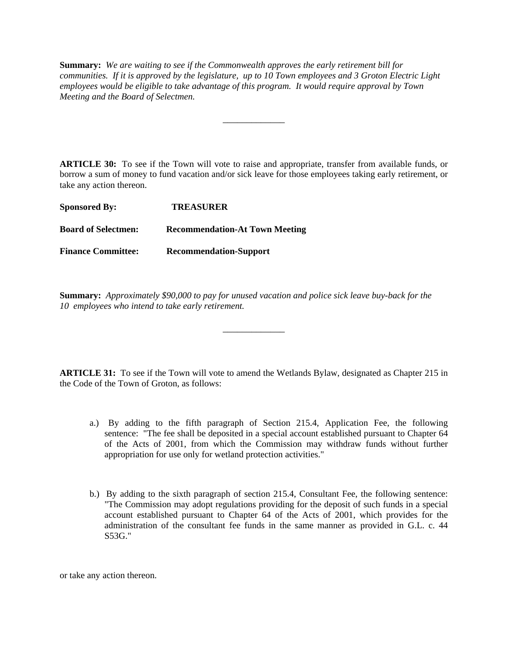**Summary:** *We are waiting to see if the Commonwealth approves the early retirement bill for communities. If it is approved by the legislature, up to 10 Town employees and 3 Groton Electric Light employees would be eligible to take advantage of this program. It would require approval by Town Meeting and the Board of Selectmen.*

\_\_\_\_\_\_\_\_\_\_\_\_\_

**ARTICLE 30:** To see if the Town will vote to raise and appropriate, transfer from available funds, or borrow a sum of money to fund vacation and/or sick leave for those employees taking early retirement, or take any action thereon.

| <b>Sponsored By:</b>       | <b>TREASURER</b>                      |  |
|----------------------------|---------------------------------------|--|
| <b>Board of Selectmen:</b> | <b>Recommendation-At Town Meeting</b> |  |
| <b>Finance Committee:</b>  | <b>Recommendation-Support</b>         |  |

**Summary:** *Approximately \$90,000 to pay for unused vacation and police sick leave buy-back for the 10 employees who intend to take early retirement.*

**ARTICLE 31:** To see if the Town will vote to amend the Wetlands Bylaw, designated as Chapter 215 in the Code of the Town of Groton, as follows:

\_\_\_\_\_\_\_\_\_\_\_\_\_

- a.) By adding to the fifth paragraph of Section 215.4, Application Fee, the following sentence: "The fee shall be deposited in a special account established pursuant to Chapter 64 of the Acts of 2001, from which the Commission may withdraw funds without further appropriation for use only for wetland protection activities."
- b.) By adding to the sixth paragraph of section 215.4, Consultant Fee, the following sentence: "The Commission may adopt regulations providing for the deposit of such funds in a special account established pursuant to Chapter 64 of the Acts of 2001, which provides for the administration of the consultant fee funds in the same manner as provided in G.L. c. 44 S53G."

or take any action thereon.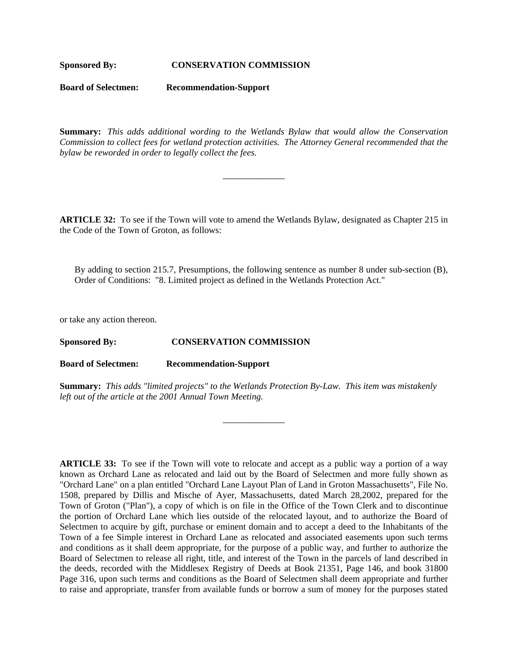#### **Sponsored By: CONSERVATION COMMISSION**

**Board of Selectmen: Recommendation-Support**

**Summary:** *This adds additional wording to the Wetlands Bylaw that would allow the Conservation Commission to collect fees for wetland protection activities. The Attorney General recommended that the bylaw be reworded in order to legally collect the fees.*

\_\_\_\_\_\_\_\_\_\_\_\_\_

**ARTICLE 32:** To see if the Town will vote to amend the Wetlands Bylaw, designated as Chapter 215 in the Code of the Town of Groton, as follows:

By adding to section 215.7, Presumptions, the following sentence as number 8 under sub-section (B), Order of Conditions: "8. Limited project as defined in the Wetlands Protection Act."

or take any action thereon.

**Sponsored By: CONSERVATION COMMISSION**

**Board of Selectmen: Recommendation-Support**

**Summary:** *This adds "limited projects" to the Wetlands Protection By-Law. This item was mistakenly left out of the article at the 2001 Annual Town Meeting.*

\_\_\_\_\_\_\_\_\_\_\_\_\_

**ARTICLE 33:** To see if the Town will vote to relocate and accept as a public way a portion of a way known as Orchard Lane as relocated and laid out by the Board of Selectmen and more fully shown as "Orchard Lane" on a plan entitled "Orchard Lane Layout Plan of Land in Groton Massachusetts", File No. 1508, prepared by Dillis and Mische of Ayer, Massachusetts, dated March 28,2002, prepared for the Town of Groton ("Plan"), a copy of which is on file in the Office of the Town Clerk and to discontinue the portion of Orchard Lane which lies outside of the relocated layout, and to authorize the Board of Selectmen to acquire by gift, purchase or eminent domain and to accept a deed to the Inhabitants of the Town of a fee Simple interest in Orchard Lane as relocated and associated easements upon such terms and conditions as it shall deem appropriate, for the purpose of a public way, and further to authorize the Board of Selectmen to release all right, title, and interest of the Town in the parcels of land described in the deeds, recorded with the Middlesex Registry of Deeds at Book 21351, Page 146, and book 31800 Page 316, upon such terms and conditions as the Board of Selectmen shall deem appropriate and further to raise and appropriate, transfer from available funds or borrow a sum of money for the purposes stated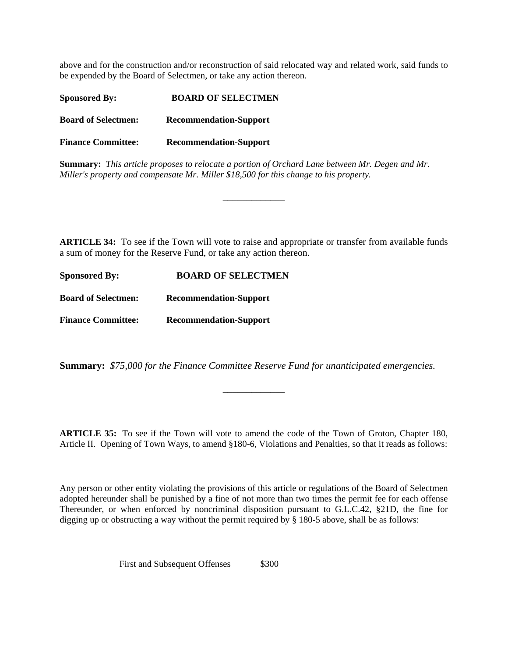above and for the construction and/or reconstruction of said relocated way and related work, said funds to be expended by the Board of Selectmen, or take any action thereon.

| <b>Sponsored By:</b>       | <b>BOARD OF SELECTMEN</b>     |  |  |
|----------------------------|-------------------------------|--|--|
| <b>Board of Selectmen:</b> | <b>Recommendation-Support</b> |  |  |
| <b>Finance Committee:</b>  | <b>Recommendation-Support</b> |  |  |
|                            |                               |  |  |

**Summary:** *This article proposes to relocate a portion of Orchard Lane between Mr. Degen and Mr. Miller's property and compensate Mr. Miller \$18,500 for this change to his property.* 

**ARTICLE 34:** To see if the Town will vote to raise and appropriate or transfer from available funds a sum of money for the Reserve Fund, or take any action thereon.

\_\_\_\_\_\_\_\_\_\_\_\_\_

| <b>Sponsored By:</b>       | <b>BOARD OF SELECTMEN</b>     |  |
|----------------------------|-------------------------------|--|
| <b>Board of Selectmen:</b> | <b>Recommendation-Support</b> |  |
| <b>Finance Committee:</b>  | <b>Recommendation-Support</b> |  |

**Summary:** *\$75,000 for the Finance Committee Reserve Fund for unanticipated emergencies.*

**ARTICLE 35:** To see if the Town will vote to amend the code of the Town of Groton, Chapter 180, Article II. Opening of Town Ways, to amend §180-6, Violations and Penalties, so that it reads as follows:

\_\_\_\_\_\_\_\_\_\_\_\_\_

Any person or other entity violating the provisions of this article or regulations of the Board of Selectmen adopted hereunder shall be punished by a fine of not more than two times the permit fee for each offense Thereunder, or when enforced by noncriminal disposition pursuant to G.L.C.42, §21D, the fine for digging up or obstructing a way without the permit required by § 180-5 above, shall be as follows:

First and Subsequent Offenses \$300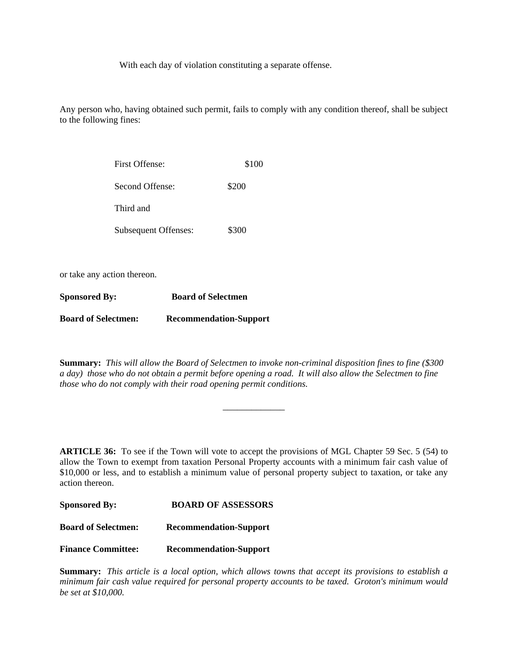With each day of violation constituting a separate offense.

Any person who, having obtained such permit, fails to comply with any condition thereof, shall be subject to the following fines:

| <b>First Offense:</b>       | \$100 |
|-----------------------------|-------|
| Second Offense:             | \$200 |
| Third and                   |       |
| <b>Subsequent Offenses:</b> | \$300 |

or take any action thereon.

| <b>Sponsored By:</b>       | <b>Board of Selectmen</b>     |  |
|----------------------------|-------------------------------|--|
| <b>Board of Selectmen:</b> | <b>Recommendation-Support</b> |  |

**Summary:** *This will allow the Board of Selectmen to invoke non-criminal disposition fines to fine (\$300 a day) those who do not obtain a permit before opening a road. It will also allow the Selectmen to fine those who do not comply with their road opening permit conditions.* 

\_\_\_\_\_\_\_\_\_\_\_\_\_

**ARTICLE 36:** To see if the Town will vote to accept the provisions of MGL Chapter 59 Sec. 5 (54) to allow the Town to exempt from taxation Personal Property accounts with a minimum fair cash value of \$10,000 or less, and to establish a minimum value of personal property subject to taxation, or take any action thereon.

| <b>Sponsored By:</b>       | <b>BOARD OF ASSESSORS</b>     |
|----------------------------|-------------------------------|
| <b>Board of Selectmen:</b> | <b>Recommendation-Support</b> |
| <b>Finance Committee:</b>  | <b>Recommendation-Support</b> |

**Summary:** *This article is a local option, which allows towns that accept its provisions to establish a minimum fair cash value required for personal property accounts to be taxed. Groton's minimum would be set at \$10,000.*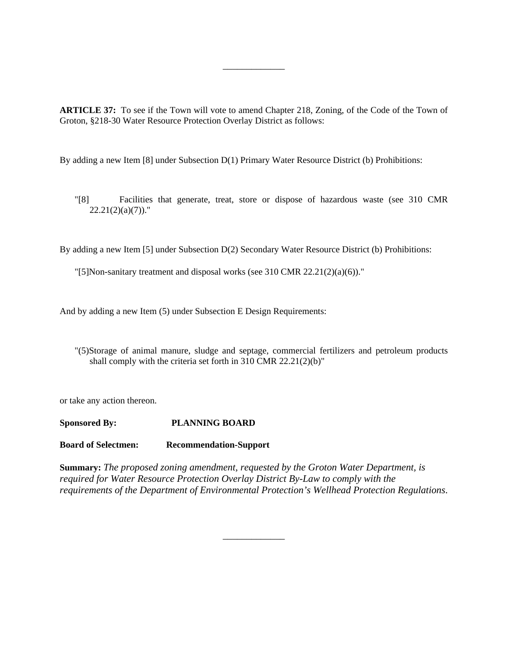**ARTICLE 37:** To see if the Town will vote to amend Chapter 218, Zoning, of the Code of the Town of Groton, §218-30 Water Resource Protection Overlay District as follows:

\_\_\_\_\_\_\_\_\_\_\_\_\_

By adding a new Item [8] under Subsection D(1) Primary Water Resource District (b) Prohibitions:

"[8] Facilities that generate, treat, store or dispose of hazardous waste (see 310 CMR  $22.21(2)(a)(7)$ ."

By adding a new Item [5] under Subsection D(2) Secondary Water Resource District (b) Prohibitions:

"[5]Non-sanitary treatment and disposal works (see 310 CMR 22.21(2)(a)(6))."

And by adding a new Item (5) under Subsection E Design Requirements:

"(5)Storage of animal manure, sludge and septage, commercial fertilizers and petroleum products shall comply with the criteria set forth in 310 CMR 22.21(2)(b)"

or take any action thereon.

**Sponsored By: PLANNING BOARD**

**Board of Selectmen: Recommendation-Support**

**Summary:** *The proposed zoning amendment, requested by the Groton Water Department, is required for Water Resource Protection Overlay District By-Law to comply with the requirements of the Department of Environmental Protection's Wellhead Protection Regulations*.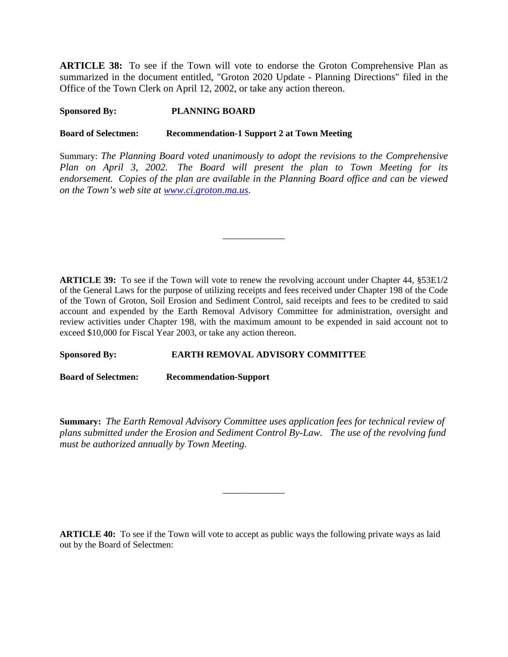**ARTICLE 38:** To see if the Town will vote to endorse the Groton Comprehensive Plan as summarized in the document entitled, "Groton 2020 Update - Planning Directions" filed in the Office of the Town Clerk on April 12, 2002, or take any action thereon.

## **Sponsored By: PLANNING BOARD**

#### **Board of Selectmen: Recommendation-1 Support 2 at Town Meeting**

Summary: *The Planning Board voted unanimously to adopt the revisions to the Comprehensive Plan on April 3, 2002. The Board will present the plan to Town Meeting for its endorsement. Copies of the plan are available in the Planning Board office and can be viewed on the Town's web site at www.ci.groton.ma.us*.

\_\_\_\_\_\_\_\_\_\_\_\_\_

**ARTICLE 39:** To see if the Town will vote to renew the revolving account under Chapter 44, §53E1/2 of the General Laws for the purpose of utilizing receipts and fees received under Chapter 198 of the Code of the Town of Groton, Soil Erosion and Sediment Control, said receipts and fees to be credited to said account and expended by the Earth Removal Advisory Committee for administration, oversight and review activities under Chapter 198, with the maximum amount to be expended in said account not to exceed \$10,000 for Fiscal Year 2003, or take any action thereon.

#### **Sponsored By: EARTH REMOVAL ADVISORY COMMITTEE**

**Board of Selectmen: Recommendation-Support**

**Summary:** *The Earth Removal Advisory Committee uses application fees for technical review of plans submitted under the Erosion and Sediment Control By-Law. The use of the revolving fund must be authorized annually by Town Meeting.*

\_\_\_\_\_\_\_\_\_\_\_\_\_

**ARTICLE 40:** To see if the Town will vote to accept as public ways the following private ways as laid out by the Board of Selectmen: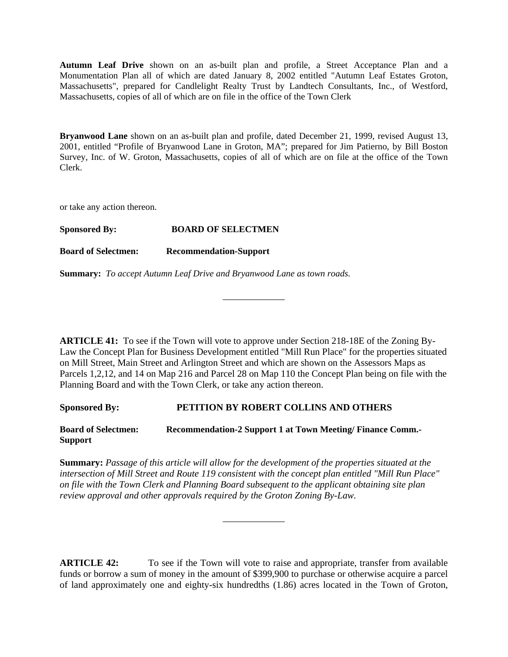**Autumn Leaf Drive** shown on an as-built plan and profile, a Street Acceptance Plan and a Monumentation Plan all of which are dated January 8, 2002 entitled "Autumn Leaf Estates Groton, Massachusetts", prepared for Candlelight Realty Trust by Landtech Consultants, Inc., of Westford, Massachusetts, copies of all of which are on file in the office of the Town Clerk

**Bryanwood Lane** shown on an as-built plan and profile, dated December 21, 1999, revised August 13, 2001, entitled "Profile of Bryanwood Lane in Groton, MA"; prepared for Jim Patierno, by Bill Boston Survey, Inc. of W. Groton, Massachusetts, copies of all of which are on file at the office of the Town Clerk.

or take any action thereon.

**Board of Selectmen: Recommendation-Support**

**Summary:** *To accept Autumn Leaf Drive and Bryanwood Lane as town roads.*

**ARTICLE 41:** To see if the Town will vote to approve under Section 218-18E of the Zoning By-Law the Concept Plan for Business Development entitled "Mill Run Place" for the properties situated on Mill Street, Main Street and Arlington Street and which are shown on the Assessors Maps as Parcels 1,2,12, and 14 on Map 216 and Parcel 28 on Map 110 the Concept Plan being on file with the Planning Board and with the Town Clerk, or take any action thereon.

\_\_\_\_\_\_\_\_\_\_\_\_\_

**Sponsored By: PETITION BY ROBERT COLLINS AND OTHERS**

**Board of Selectmen: Recommendation-2 Support 1 at Town Meeting/ Finance Comm.- Support**

**Summary:** *Passage of this article will allow for the development of the properties situated at the intersection of Mill Street and Route 119 consistent with the concept plan entitled "Mill Run Place" on file with the Town Clerk and Planning Board subsequent to the applicant obtaining site plan review approval and other approvals required by the Groton Zoning By-Law.*

\_\_\_\_\_\_\_\_\_\_\_\_\_

**ARTICLE 42:** To see if the Town will vote to raise and appropriate, transfer from available funds or borrow a sum of money in the amount of \$399,900 to purchase or otherwise acquire a parcel of land approximately one and eighty-six hundredths (1.86) acres located in the Town of Groton,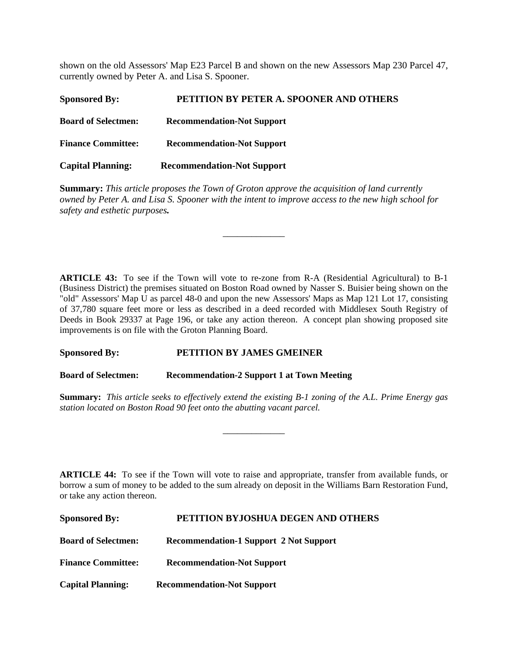shown on the old Assessors' Map E23 Parcel B and shown on the new Assessors Map 230 Parcel 47, currently owned by Peter A. and Lisa S. Spooner.

| <b>Sponsored By:</b>       | PETITION BY PETER A. SPOONER AND OTHERS |
|----------------------------|-----------------------------------------|
| <b>Board of Selectmen:</b> | <b>Recommendation-Not Support</b>       |
| <b>Finance Committee:</b>  | <b>Recommendation-Not Support</b>       |
| <b>Capital Planning:</b>   | <b>Recommendation-Not Support</b>       |

**Summary:** *This article proposes the Town of Groton approve the acquisition of land currently owned by Peter A. and Lisa S. Spooner with the intent to improve access to the new high school for safety and esthetic purposes.*

\_\_\_\_\_\_\_\_\_\_\_\_\_

**ARTICLE 43:** To see if the Town will vote to re-zone from R-A (Residential Agricultural) to B-1 (Business District) the premises situated on Boston Road owned by Nasser S. Buisier being shown on the "old" Assessors' Map U as parcel 48-0 and upon the new Assessors' Maps as Map 121 Lot 17, consisting of 37,780 square feet more or less as described in a deed recorded with Middlesex South Registry of Deeds in Book 29337 at Page 196, or take any action thereon. A concept plan showing proposed site improvements is on file with the Groton Planning Board.

#### **Sponsored By: PETITION BY JAMES GMEINER**

**Board of Selectmen: Recommendation-2 Support 1 at Town Meeting**

**Summary:** *This article seeks to effectively extend the existing B-1 zoning of the A.L. Prime Energy gas station located on Boston Road 90 feet onto the abutting vacant parcel.*

\_\_\_\_\_\_\_\_\_\_\_\_\_

**ARTICLE 44:** To see if the Town will vote to raise and appropriate, transfer from available funds, or borrow a sum of money to be added to the sum already on deposit in the Williams Barn Restoration Fund, or take any action thereon.

| <b>Sponsored By:</b>       | PETITION BYJOSHUA DEGEN AND OTHERS            |
|----------------------------|-----------------------------------------------|
| <b>Board of Selectmen:</b> | <b>Recommendation-1 Support 2 Not Support</b> |
| <b>Finance Committee:</b>  | <b>Recommendation-Not Support</b>             |
| <b>Capital Planning:</b>   | <b>Recommendation-Not Support</b>             |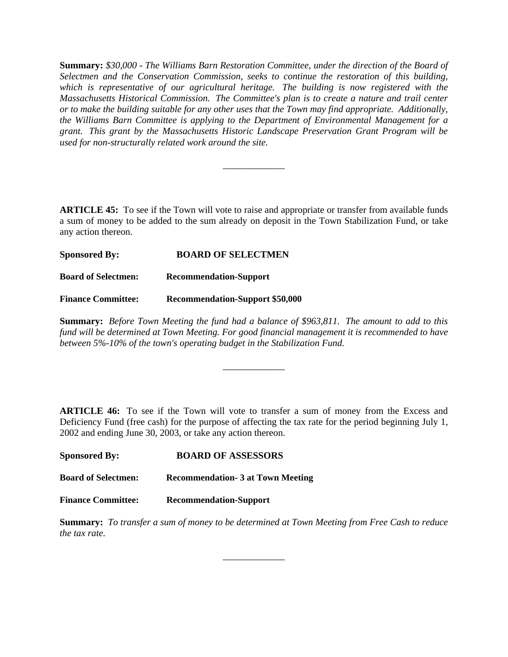**Summary:** *\$30,000 - The Williams Barn Restoration Committee, under the direction of the Board of Selectmen and the Conservation Commission, seeks to continue the restoration of this building, which is representative of our agricultural heritage. The building is now registered with the Massachusetts Historical Commission. The Committee's plan is to create a nature and trail center or to make the building suitable for any other uses that the Town may find appropriate. Additionally, the Williams Barn Committee is applying to the Department of Environmental Management for a grant. This grant by the Massachusetts Historic Landscape Preservation Grant Program will be used for non-structurally related work around the site.*

**ARTICLE 45:** To see if the Town will vote to raise and appropriate or transfer from available funds a sum of money to be added to the sum already on deposit in the Town Stabilization Fund, or take any action thereon.

\_\_\_\_\_\_\_\_\_\_\_\_\_

**Sponsored By: BOARD OF SELECTMEN Board of Selectmen: Recommendation-Support Finance Committee: Recommendation-Support \$50,000**

**Summary:** *Before Town Meeting the fund had a balance of \$963,811. The amount to add to this fund will be determined at Town Meeting. For good financial management it is recommended to have between 5%-10% of the town's operating budget in the Stabilization Fund.* 

\_\_\_\_\_\_\_\_\_\_\_\_\_

**ARTICLE 46:** To see if the Town will vote to transfer a sum of money from the Excess and Deficiency Fund (free cash) for the purpose of affecting the tax rate for the period beginning July 1, 2002 and ending June 30, 2003, or take any action thereon.

| <b>Sponsored By:</b>       | <b>BOARD OF ASSESSORS</b>               |
|----------------------------|-----------------------------------------|
| <b>Board of Selectmen:</b> | <b>Recommendation-3 at Town Meeting</b> |
| <b>Finance Committee:</b>  | <b>Recommendation-Support</b>           |

**Summary:** *To transfer a sum of money to be determined at Town Meeting from Free Cash to reduce the tax rate.*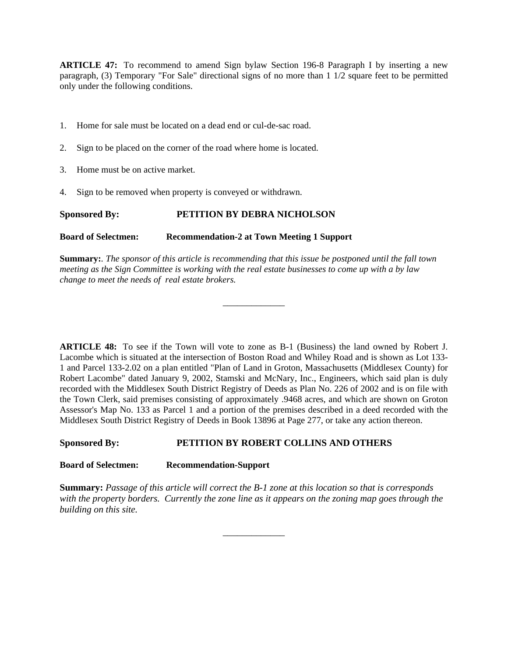**ARTICLE 47:** To recommend to amend Sign bylaw Section 196-8 Paragraph I by inserting a new paragraph, (3) Temporary "For Sale" directional signs of no more than 1 1/2 square feet to be permitted only under the following conditions.

- 1. Home for sale must be located on a dead end or cul-de-sac road.
- 2. Sign to be placed on the corner of the road where home is located.
- 3. Home must be on active market.
- 4. Sign to be removed when property is conveyed or withdrawn.

#### **Sponsored By: PETITION BY DEBRA NICHOLSON**

#### **Board of Selectmen: Recommendation-2 at Town Meeting 1 Support**

**Summary:***. The sponsor of this article is recommending that this issue be postponed until the fall town meeting as the Sign Committee is working with the real estate businesses to come up with a by law change to meet the needs of real estate brokers.* 

\_\_\_\_\_\_\_\_\_\_\_\_\_

**ARTICLE 48:** To see if the Town will vote to zone as B-1 (Business) the land owned by Robert J. Lacombe which is situated at the intersection of Boston Road and Whiley Road and is shown as Lot 133- 1 and Parcel 133-2.02 on a plan entitled "Plan of Land in Groton, Massachusetts (Middlesex County) for Robert Lacombe" dated January 9, 2002, Stamski and McNary, Inc., Engineers, which said plan is duly recorded with the Middlesex South District Registry of Deeds as Plan No. 226 of 2002 and is on file with the Town Clerk, said premises consisting of approximately .9468 acres, and which are shown on Groton Assessor's Map No. 133 as Parcel 1 and a portion of the premises described in a deed recorded with the Middlesex South District Registry of Deeds in Book 13896 at Page 277, or take any action thereon.

#### **Sponsored By: PETITION BY ROBERT COLLINS AND OTHERS**

**Board of Selectmen: Recommendation-Support**

**Summary:** *Passage of this article will correct the B-1 zone at this location so that is corresponds with the property borders. Currently the zone line as it appears on the zoning map goes through the building on this site.*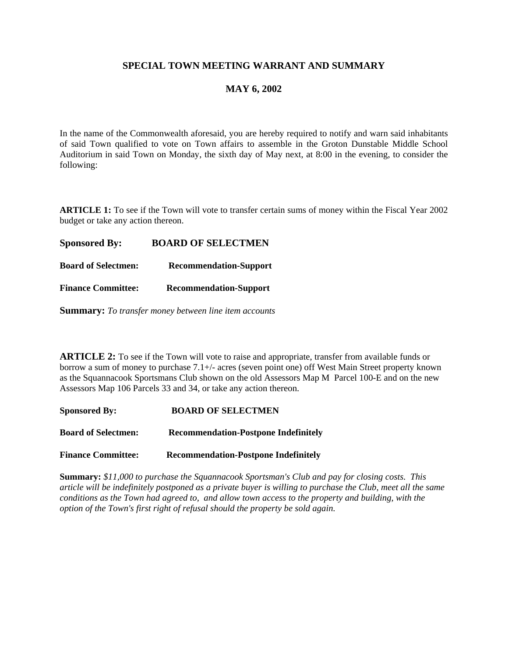# **SPECIAL TOWN MEETING WARRANT AND SUMMARY**

# **MAY 6, 2002**

In the name of the Commonwealth aforesaid, you are hereby required to notify and warn said inhabitants of said Town qualified to vote on Town affairs to assemble in the Groton Dunstable Middle School Auditorium in said Town on Monday, the sixth day of May next, at 8:00 in the evening, to consider the following:

**ARTICLE 1:** To see if the Town will vote to transfer certain sums of money within the Fiscal Year 2002 budget or take any action thereon.

**Sponsored By: BOARD OF SELECTMEN**

**Board of Selectmen: Recommendation-Support**

**Finance Committee: Recommendation-Support**

**Summary:** *To transfer money between line item accounts*

**ARTICLE 2:** To see if the Town will vote to raise and appropriate, transfer from available funds or borrow a sum of money to purchase 7.1+/- acres (seven point one) off West Main Street property known as the Squannacook Sportsmans Club shown on the old Assessors Map M Parcel 100-E and on the new Assessors Map 106 Parcels 33 and 34, or take any action thereon.

| <b>Sponsored By:</b>       | <b>BOARD OF SELECTMEN</b>                   |
|----------------------------|---------------------------------------------|
| <b>Board of Selectmen:</b> | <b>Recommendation-Postpone Indefinitely</b> |

**Finance Committee: Recommendation-Postpone Indefinitely**

**Summary:** *\$11,000 to purchase the Squannacook Sportsman's Club and pay for closing costs. This article will be indefinitely postponed as a private buyer is willing to purchase the Club, meet all the same conditions as the Town had agreed to, and allow town access to the property and building, with the option of the Town's first right of refusal should the property be sold again.*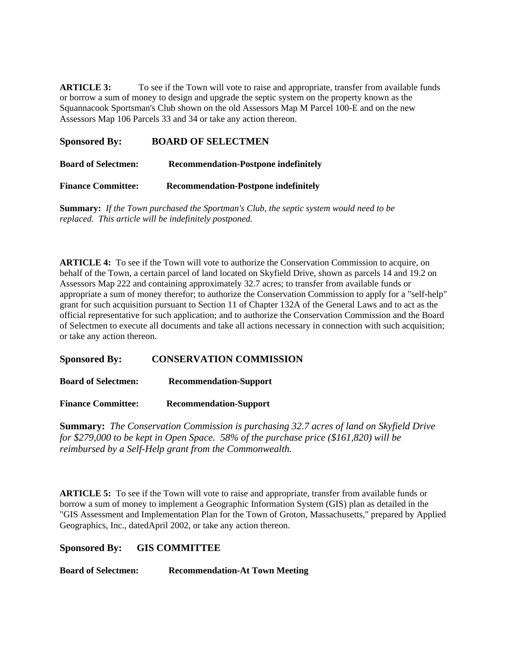**ARTICLE 3:** To see if the Town will vote to raise and appropriate, transfer from available funds or borrow a sum of money to design and upgrade the septic system on the property known as the Squannacook Sportsman's Club shown on the old Assessors Map M Parcel 100-E and on the new Assessors Map 106 Parcels 33 and 34 or take any action thereon.

| <b>Sponsored By:</b>       | <b>BOARD OF SELECTMEN</b>                   |
|----------------------------|---------------------------------------------|
| <b>Board of Selectmen:</b> | <b>Recommendation-Postpone indefinitely</b> |
| <b>Finance Committee:</b>  | <b>Recommendation-Postpone indefinitely</b> |

**Summary:** *If the Town purchased the Sportman's Club, the septic system would need to be replaced. This article will be indefinitely postponed.*

**ARTICLE 4:** To see if the Town will vote to authorize the Conservation Commission to acquire, on behalf of the Town, a certain parcel of land located on Skyfield Drive, shown as parcels 14 and 19.2 on Assessors Map 222 and containing approximately 32.7 acres; to transfer from available funds or appropriate a sum of money therefor; to authorize the Conservation Commission to apply for a "self-help" grant for such acquisition pursuant to Section 11 of Chapter 132A of the General Laws and to act as the official representative for such application; and to authorize the Conservation Commission and the Board of Selectmen to execute all documents and take all actions necessary in connection with such acquisition; or take any action thereon.

#### **Sponsored By: CONSERVATION COMMISSION**

| <b>Board of Selectmen:</b> | <b>Recommendation-Support</b> |
|----------------------------|-------------------------------|
|                            |                               |

**Finance Committee: Recommendation-Support**

**Summary:** *The Conservation Commission is purchasing 32.7 acres of land on Skyfield Drive for \$279,000 to be kept in Open Space. 58% of the purchase price (\$161,820) will be reimbursed by a Self-Help grant from the Commonwealth.*

**ARTICLE 5:** To see if the Town will vote to raise and appropriate, transfer from available funds or borrow a sum of money to implement a Geographic Information System (GIS) plan as detailed in the "GIS Assessment and Implementation Plan for the Town of Groton, Massachusetts," prepared by Applied Geographics, Inc., datedApril 2002*,* or take any action thereon.

**Sponsored By: GIS COMMITTEE**

**Board of Selectmen: Recommendation-At Town Meeting**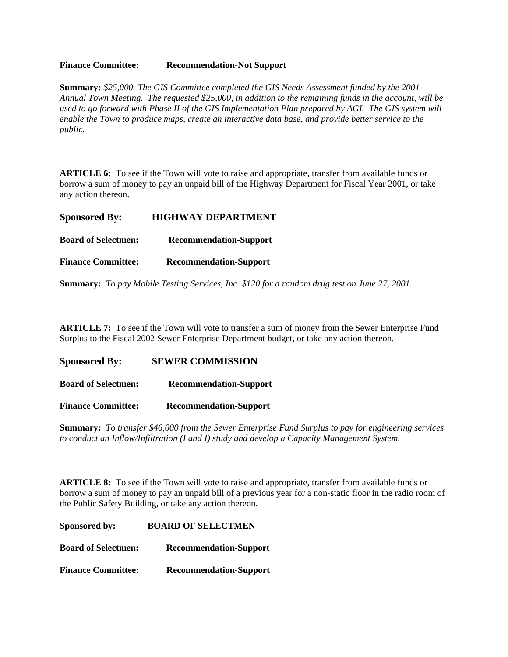#### **Finance Committee: Recommendation-Not Support**

**Summary:** *\$25,000. The GIS Committee completed the GIS Needs Assessment funded by the 2001 Annual Town Meeting. The requested \$25,000, in addition to the remaining funds in the account, will be used to go forward with Phase II of the GIS Implementation Plan prepared by AGI. The GIS system will enable the Town to produce maps, create an interactive data base, and provide better service to the public.*

**ARTICLE 6:** To see if the Town will vote to raise and appropriate, transfer from available funds or borrow a sum of money to pay an unpaid bill of the Highway Department for Fiscal Year 2001, or take any action thereon.

| <b>Sponsored By:</b>       | <b>HIGHWAY DEPARTMENT</b>                                                                           |
|----------------------------|-----------------------------------------------------------------------------------------------------|
| <b>Board of Selectmen:</b> | <b>Recommendation-Support</b>                                                                       |
| <b>Finance Committee:</b>  | <b>Recommendation-Support</b>                                                                       |
|                            | <b>Summary:</b> To pay Mobile Testing Services, Inc. \$120 for a random drug test on June 27, 2001. |

**ARTICLE 7:** To see if the Town will vote to transfer a sum of money from the Sewer Enterprise Fund Surplus to the Fiscal 2002 Sewer Enterprise Department budget, or take any action thereon.

| <b>Sponsored By:</b>       | <b>SEWER COMMISSION</b>       |
|----------------------------|-------------------------------|
| <b>Board of Selectmen:</b> | <b>Recommendation-Support</b> |
| <b>Finance Committee:</b>  | <b>Recommendation-Support</b> |

**Summary:** *To transfer \$46,000 from the Sewer Enterprise Fund Surplus to pay for engineering services to conduct an Inflow/Infiltration (I and I) study and develop a Capacity Management System.*

**ARTICLE 8:** To see if the Town will vote to raise and appropriate, transfer from available funds or borrow a sum of money to pay an unpaid bill of a previous year for a non-static floor in the radio room of the Public Safety Building, or take any action thereon.

**Sponsored by: BOARD OF SELECTMEN Board of Selectmen: Recommendation-Support Finance Committee: Recommendation-Support**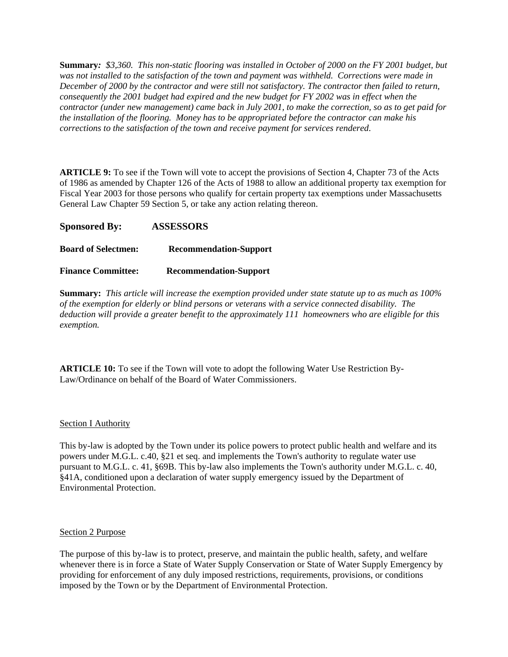**Summary***: \$3,360. This non-static flooring was installed in October of 2000 on the FY 2001 budget, but was not installed to the satisfaction of the town and payment was withheld. Corrections were made in December of 2000 by the contractor and were still not satisfactory. The contractor then failed to return, consequently the 2001 budget had expired and the new budget for FY 2002 was in effect when the contractor (under new management) came back in July 2001, to make the correction, so as to get paid for the installation of the flooring. Money has to be appropriated before the contractor can make his corrections to the satisfaction of the town and receive payment for services rendered*.

**ARTICLE 9:** To see if the Town will vote to accept the provisions of Section 4, Chapter 73 of the Acts of 1986 as amended by Chapter 126 of the Acts of 1988 to allow an additional property tax exemption for Fiscal Year 2003 for those persons who qualify for certain property tax exemptions under Massachusetts General Law Chapter 59 Section 5, or take any action relating thereon.

**Sponsored By: ASSESSORS**

# **Board of Selectmen: Recommendation-Support**

#### **Finance Committee: Recommendation-Support**

**Summary:** *This article will increase the exemption provided under state statute up to as much as 100% of the exemption for elderly or blind persons or veterans with a service connected disability. The deduction will provide a greater benefit to the approximately 111 homeowners who are eligible for this exemption.*

**ARTICLE 10:** To see if the Town will vote to adopt the following Water Use Restriction By-Law/Ordinance on behalf of the Board of Water Commissioners.

#### Section I Authority

This by-law is adopted by the Town under its police powers to protect public health and welfare and its powers under M.G.L. c.40, §21 et seq. and implements the Town's authority to regulate water use pursuant to M.G.L. c. 41, §69B. This by-law also implements the Town's authority under M.G.L. c. 40, §41A, conditioned upon a declaration of water supply emergency issued by the Department of Environmental Protection.

#### Section 2 Purpose

The purpose of this by-law is to protect, preserve, and maintain the public health, safety, and welfare whenever there is in force a State of Water Supply Conservation or State of Water Supply Emergency by providing for enforcement of any duly imposed restrictions, requirements, provisions, or conditions imposed by the Town or by the Department of Environmental Protection.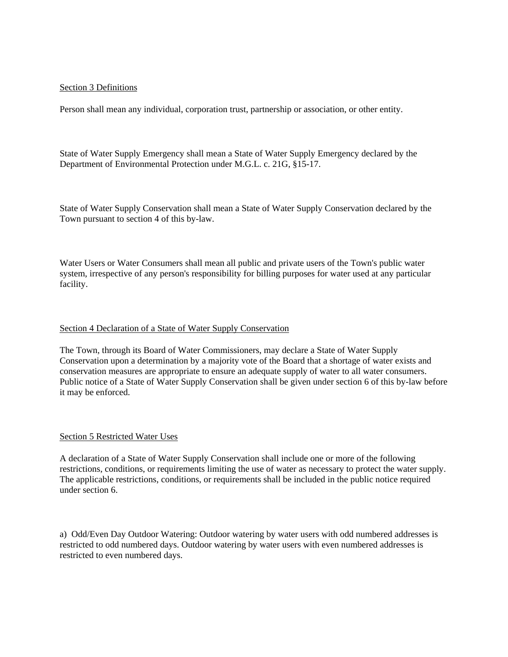#### Section 3 Definitions

Person shall mean any individual, corporation trust, partnership or association, or other entity.

State of Water Supply Emergency shall mean a State of Water Supply Emergency declared by the Department of Environmental Protection under M.G.L. c. 21G, §15-17.

State of Water Supply Conservation shall mean a State of Water Supply Conservation declared by the Town pursuant to section 4 of this by-law.

Water Users or Water Consumers shall mean all public and private users of the Town's public water system, irrespective of any person's responsibility for billing purposes for water used at any particular facility.

#### Section 4 Declaration of a State of Water Supply Conservation

The Town, through its Board of Water Commissioners, may declare a State of Water Supply Conservation upon a determination by a majority vote of the Board that a shortage of water exists and conservation measures are appropriate to ensure an adequate supply of water to all water consumers. Public notice of a State of Water Supply Conservation shall be given under section 6 of this by-law before it may be enforced.

#### Section 5 Restricted Water Uses

A declaration of a State of Water Supply Conservation shall include one or more of the following restrictions, conditions, or requirements limiting the use of water as necessary to protect the water supply. The applicable restrictions, conditions, or requirements shall be included in the public notice required under section 6.

a) Odd/Even Day Outdoor Watering: Outdoor watering by water users with odd numbered addresses is restricted to odd numbered days. Outdoor watering by water users with even numbered addresses is restricted to even numbered days.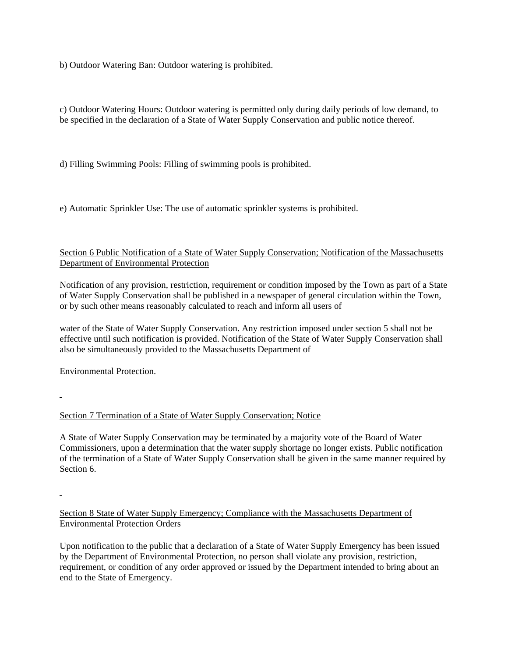b) Outdoor Watering Ban: Outdoor watering is prohibited.

c) Outdoor Watering Hours: Outdoor watering is permitted only during daily periods of low demand, to be specified in the declaration of a State of Water Supply Conservation and public notice thereof.

d) Filling Swimming Pools: Filling of swimming pools is prohibited.

e) Automatic Sprinkler Use: The use of automatic sprinkler systems is prohibited.

#### Section 6 Public Notification of a State of Water Supply Conservation; Notification of the Massachusetts Department of Environmental Protection

Notification of any provision, restriction, requirement or condition imposed by the Town as part of a State of Water Supply Conservation shall be published in a newspaper of general circulation within the Town, or by such other means reasonably calculated to reach and inform all users of

water of the State of Water Supply Conservation. Any restriction imposed under section 5 shall not be effective until such notification is provided. Notification of the State of Water Supply Conservation shall also be simultaneously provided to the Massachusetts Department of

Environmental Protection.

#### Section 7 Termination of a State of Water Supply Conservation; Notice

A State of Water Supply Conservation may be terminated by a majority vote of the Board of Water Commissioners, upon a determination that the water supply shortage no longer exists. Public notification of the termination of a State of Water Supply Conservation shall be given in the same manner required by Section 6.

## Section 8 State of Water Supply Emergency; Compliance with the Massachusetts Department of Environmental Protection Orders

Upon notification to the public that a declaration of a State of Water Supply Emergency has been issued by the Department of Environmental Protection, no person shall violate any provision, restriction, requirement, or condition of any order approved or issued by the Department intended to bring about an end to the State of Emergency.